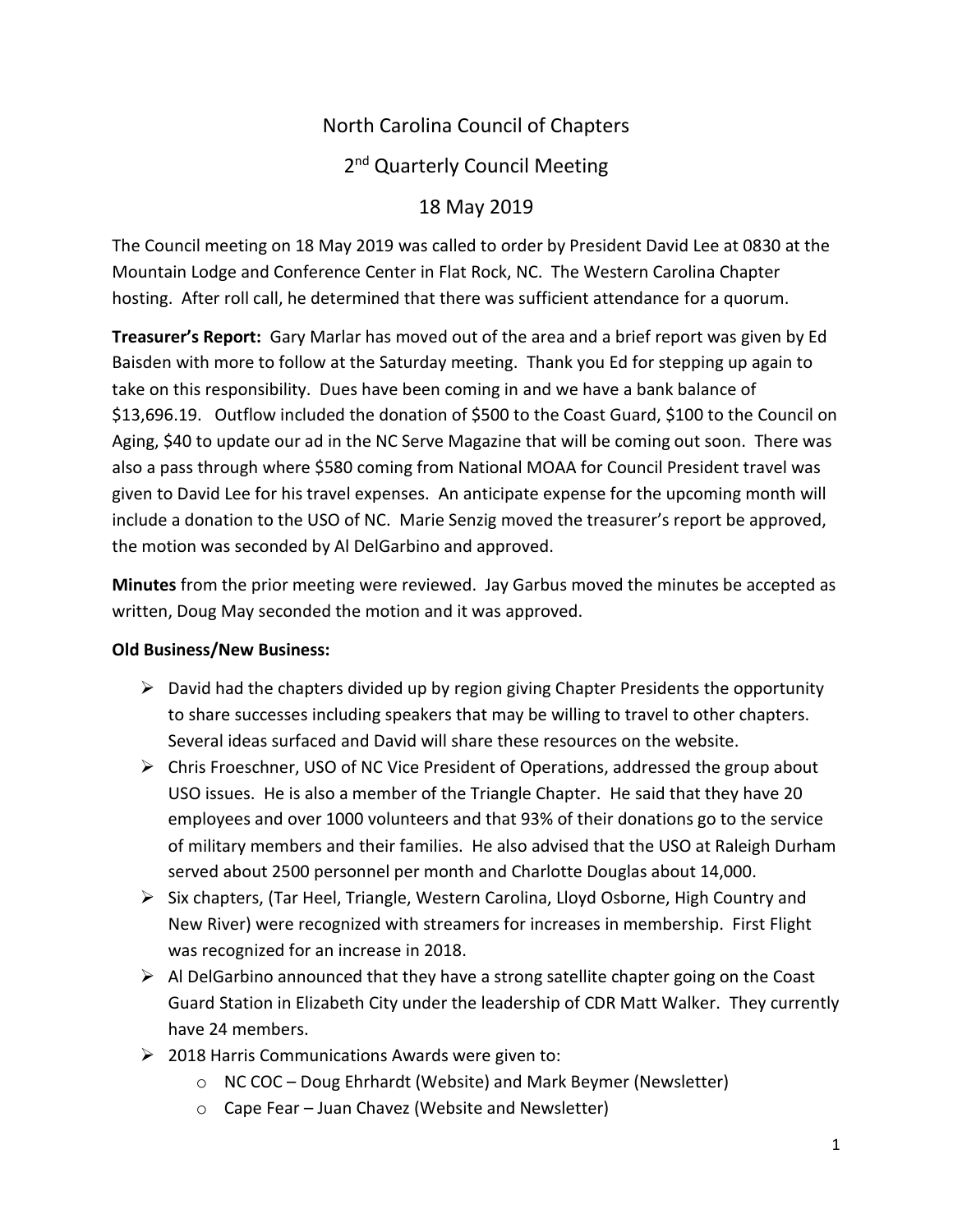# North Carolina Council of Chapters

# 2<sup>nd</sup> Quarterly Council Meeting

# 18 May 2019

The Council meeting on 18 May 2019 was called to order by President David Lee at 0830 at the Mountain Lodge and Conference Center in Flat Rock, NC. The Western Carolina Chapter hosting. After roll call, he determined that there was sufficient attendance for a quorum.

**Treasurer's Report:** Gary Marlar has moved out of the area and a brief report was given by Ed Baisden with more to follow at the Saturday meeting. Thank you Ed for stepping up again to take on this responsibility. Dues have been coming in and we have a bank balance of \$13,696.19. Outflow included the donation of \$500 to the Coast Guard, \$100 to the Council on Aging, \$40 to update our ad in the NC Serve Magazine that will be coming out soon. There was also a pass through where \$580 coming from National MOAA for Council President travel was given to David Lee for his travel expenses. An anticipate expense for the upcoming month will include a donation to the USO of NC. Marie Senzig moved the treasurer's report be approved, the motion was seconded by Al DelGarbino and approved.

**Minutes** from the prior meeting were reviewed. Jay Garbus moved the minutes be accepted as written, Doug May seconded the motion and it was approved.

#### **Old Business/New Business:**

- $\triangleright$  David had the chapters divided up by region giving Chapter Presidents the opportunity to share successes including speakers that may be willing to travel to other chapters. Several ideas surfaced and David will share these resources on the website.
- $\triangleright$  Chris Froeschner, USO of NC Vice President of Operations, addressed the group about USO issues. He is also a member of the Triangle Chapter. He said that they have 20 employees and over 1000 volunteers and that 93% of their donations go to the service of military members and their families. He also advised that the USO at Raleigh Durham served about 2500 personnel per month and Charlotte Douglas about 14,000.
- $\triangleright$  Six chapters, (Tar Heel, Triangle, Western Carolina, Lloyd Osborne, High Country and New River) were recognized with streamers for increases in membership. First Flight was recognized for an increase in 2018.
- $\triangleright$  Al DelGarbino announced that they have a strong satellite chapter going on the Coast Guard Station in Elizabeth City under the leadership of CDR Matt Walker. They currently have 24 members.
- $\geq$  2018 Harris Communications Awards were given to:
	- o NC COC Doug Ehrhardt (Website) and Mark Beymer (Newsletter)
	- o Cape Fear Juan Chavez (Website and Newsletter)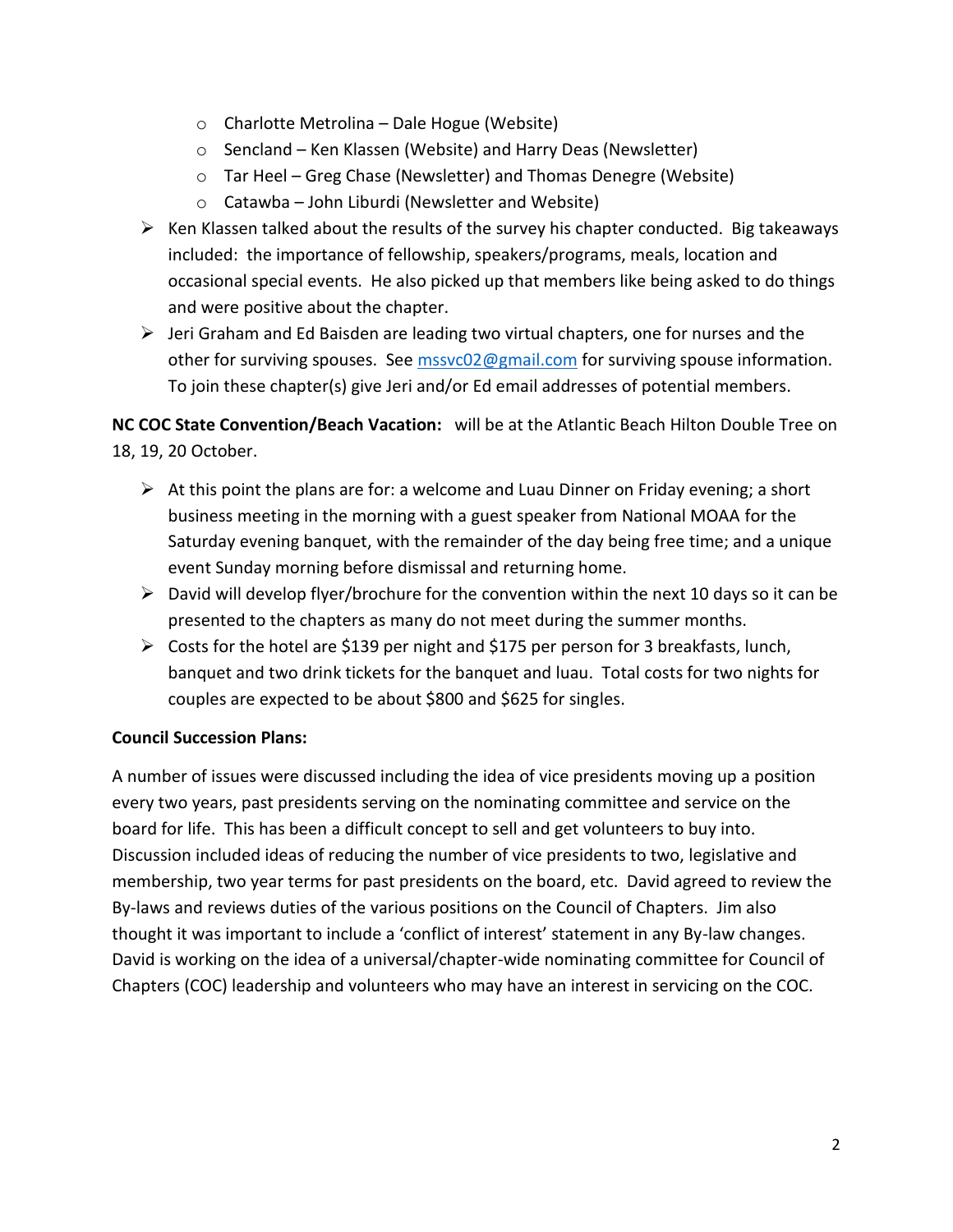- o Charlotte Metrolina Dale Hogue (Website)
- o Sencland Ken Klassen (Website) and Harry Deas (Newsletter)
- o Tar Heel Greg Chase (Newsletter) and Thomas Denegre (Website)
- $\circ$  Catawba John Liburdi (Newsletter and Website)
- $\triangleright$  Ken Klassen talked about the results of the survey his chapter conducted. Big takeaways included: the importance of fellowship, speakers/programs, meals, location and occasional special events. He also picked up that members like being asked to do things and were positive about the chapter.
- $\triangleright$  Jeri Graham and Ed Baisden are leading two virtual chapters, one for nurses and the other for surviving spouses. See [mssvc02@gmail.com](mailto:mssvc02@gmail.com) for surviving spouse information. To join these chapter(s) give Jeri and/or Ed email addresses of potential members.

**NC COC State Convention/Beach Vacation:** will be at the Atlantic Beach Hilton Double Tree on 18, 19, 20 October.

- $\triangleright$  At this point the plans are for: a welcome and Luau Dinner on Friday evening; a short business meeting in the morning with a guest speaker from National MOAA for the Saturday evening banquet, with the remainder of the day being free time; and a unique event Sunday morning before dismissal and returning home.
- $\triangleright$  David will develop flyer/brochure for the convention within the next 10 days so it can be presented to the chapters as many do not meet during the summer months.
- $\triangleright$  Costs for the hotel are \$139 per night and \$175 per person for 3 breakfasts, lunch, banquet and two drink tickets for the banquet and luau. Total costs for two nights for couples are expected to be about \$800 and \$625 for singles.

## **Council Succession Plans:**

A number of issues were discussed including the idea of vice presidents moving up a position every two years, past presidents serving on the nominating committee and service on the board for life. This has been a difficult concept to sell and get volunteers to buy into. Discussion included ideas of reducing the number of vice presidents to two, legislative and membership, two year terms for past presidents on the board, etc. David agreed to review the By-laws and reviews duties of the various positions on the Council of Chapters. Jim also thought it was important to include a 'conflict of interest' statement in any By-law changes. David is working on the idea of a universal/chapter-wide nominating committee for Council of Chapters (COC) leadership and volunteers who may have an interest in servicing on the COC.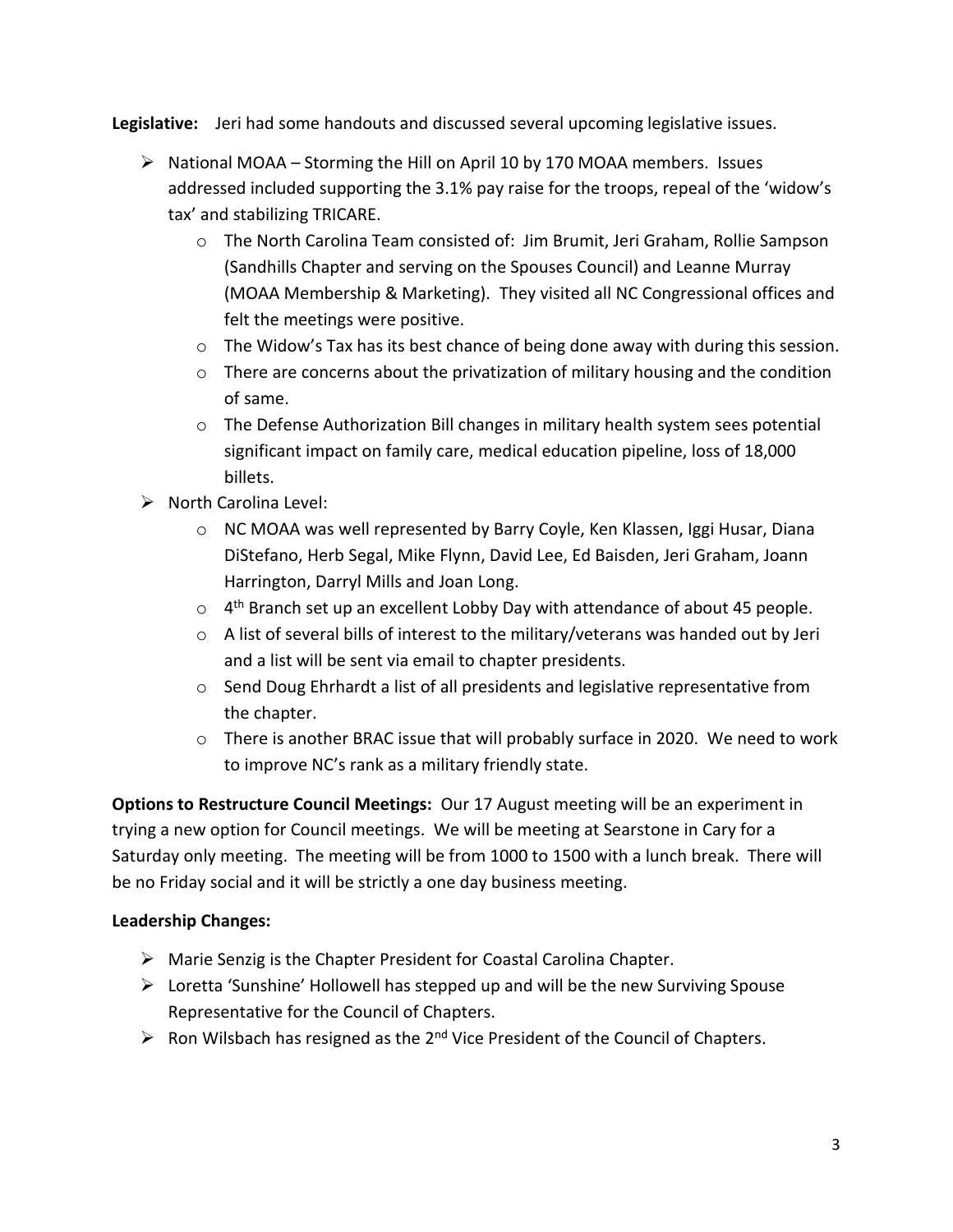**Legislative:** Jeri had some handouts and discussed several upcoming legislative issues.

- $\triangleright$  National MOAA Storming the Hill on April 10 by 170 MOAA members. Issues addressed included supporting the 3.1% pay raise for the troops, repeal of the 'widow's tax' and stabilizing TRICARE.
	- o The North Carolina Team consisted of: Jim Brumit, Jeri Graham, Rollie Sampson (Sandhills Chapter and serving on the Spouses Council) and Leanne Murray (MOAA Membership & Marketing). They visited all NC Congressional offices and felt the meetings were positive.
	- o The Widow's Tax has its best chance of being done away with during this session.
	- $\circ$  There are concerns about the privatization of military housing and the condition of same.
	- o The Defense Authorization Bill changes in military health system sees potential significant impact on family care, medical education pipeline, loss of 18,000 billets.
- $\triangleright$  North Carolina Level:
	- o NC MOAA was well represented by Barry Coyle, Ken Klassen, Iggi Husar, Diana DiStefano, Herb Segal, Mike Flynn, David Lee, Ed Baisden, Jeri Graham, Joann Harrington, Darryl Mills and Joan Long.
	- $\circ$  4<sup>th</sup> Branch set up an excellent Lobby Day with attendance of about 45 people.
	- $\circ$  A list of several bills of interest to the military/veterans was handed out by Jeri and a list will be sent via email to chapter presidents.
	- $\circ$  Send Doug Ehrhardt a list of all presidents and legislative representative from the chapter.
	- $\circ$  There is another BRAC issue that will probably surface in 2020. We need to work to improve NC's rank as a military friendly state.

**Options to Restructure Council Meetings:** Our 17 August meeting will be an experiment in trying a new option for Council meetings. We will be meeting at Searstone in Cary for a Saturday only meeting. The meeting will be from 1000 to 1500 with a lunch break. There will be no Friday social and it will be strictly a one day business meeting.

## **Leadership Changes:**

- $\triangleright$  Marie Senzig is the Chapter President for Coastal Carolina Chapter.
- $\triangleright$  Loretta 'Sunshine' Hollowell has stepped up and will be the new Surviving Spouse Representative for the Council of Chapters.
- $\triangleright$  Ron Wilsbach has resigned as the 2<sup>nd</sup> Vice President of the Council of Chapters.